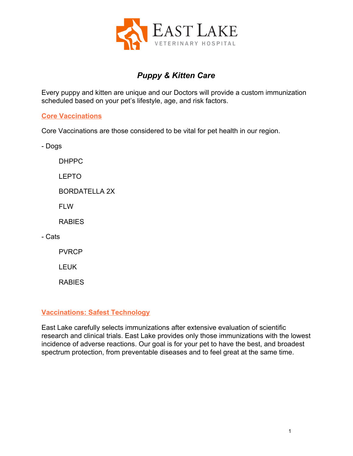

# *Puppy & Kitten Care*

Every puppy and kitten are unique and our Doctors will provide a custom immunization scheduled based on your pet's lifestyle, age, and risk factors.

### **Core Vaccinations**

Core Vaccinations are those considered to be vital for pet health in our region.

- Dogs

DHPPC

LEPTO

BORDATELLA 2X

FLW

RABIES

- Cats

PVRCP

LEUK

**RABIES** 

### **Vaccinations: Safest Technology**

East Lake carefully selects immunizations after extensive evaluation of scientific research and clinical trials. East Lake provides only those immunizations with the lowest incidence of adverse reactions. Our goal is for your pet to have the best, and broadest spectrum protection, from preventable diseases and to feel great at the same time.